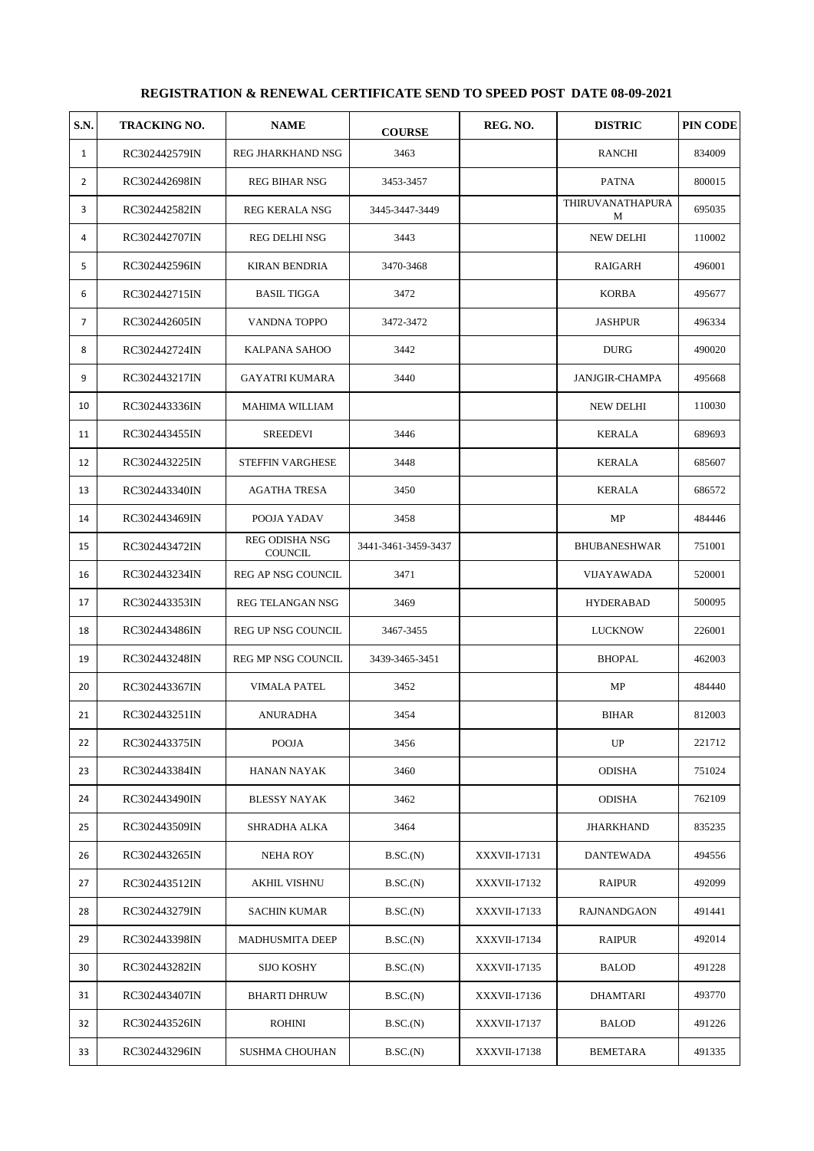## **REGISTRATION & RENEWAL CERTIFICATE SEND TO SPEED POST DATE 08-09-2021**

| <b>S.N.</b>    | <b>TRACKING NO.</b> | <b>NAME</b>                      | <b>COURSE</b>       | REG. NO.            | <b>DISTRIC</b>        | PIN CODE |
|----------------|---------------------|----------------------------------|---------------------|---------------------|-----------------------|----------|
| 1              | RC302442579IN       | REG JHARKHAND NSG                | 3463                |                     | RANCHI                | 834009   |
| $\overline{2}$ | RC302442698IN       | <b>REG BIHAR NSG</b>             | 3453-3457           |                     | <b>PATNA</b>          | 800015   |
| 3              | RC302442582IN       | <b>REG KERALA NSG</b>            | 3445-3447-3449      |                     | THIRUVANATHAPURA<br>M | 695035   |
| 4              | RC302442707IN       | REG DELHI NSG                    | 3443                |                     | <b>NEW DELHI</b>      | 110002   |
| 5              | RC302442596IN       | <b>KIRAN BENDRIA</b>             | 3470-3468           |                     | RAIGARH               | 496001   |
| 6              | RC302442715IN       | <b>BASIL TIGGA</b>               | 3472                |                     | <b>KORBA</b>          | 495677   |
| $\overline{7}$ | RC302442605IN       | VANDNA TOPPO                     | 3472-3472           |                     | <b>JASHPUR</b>        | 496334   |
| 8              | RC302442724IN       | KALPANA SAHOO                    | 3442                |                     | <b>DURG</b>           | 490020   |
| 9              | RC302443217IN       | <b>GAYATRI KUMARA</b>            | 3440                |                     | JANJGIR-CHAMPA        | 495668   |
| 10             | RC302443336IN       | MAHIMA WILLIAM                   |                     |                     | NEW DELHI             | 110030   |
| 11             | RC302443455IN       | <b>SREEDEVI</b>                  | 3446                |                     | <b>KERALA</b>         | 689693   |
| 12             | RC302443225IN       | <b>STEFFIN VARGHESE</b>          | 3448                |                     | <b>KERALA</b>         | 685607   |
| 13             | RC302443340IN       | <b>AGATHA TRESA</b>              | 3450                |                     | KERALA                | 686572   |
| 14             | RC302443469IN       | POOJA YADAV                      | 3458                |                     | MP                    | 484446   |
| 15             | RC302443472IN       | <b>REG ODISHA NSG</b><br>COUNCIL | 3441-3461-3459-3437 |                     | <b>BHUBANESHWAR</b>   | 751001   |
| 16             | RC302443234IN       | REG AP NSG COUNCIL               | 3471                |                     | VIJAYAWADA            | 520001   |
| 17             | RC302443353IN       | REG TELANGAN NSG                 | 3469                |                     | <b>HYDERABAD</b>      | 500095   |
| 18             | RC302443486IN       | REG UP NSG COUNCIL               | 3467-3455           |                     | <b>LUCKNOW</b>        | 226001   |
| 19             | RC302443248IN       | REG MP NSG COUNCIL               | 3439-3465-3451      |                     | <b>BHOPAL</b>         | 462003   |
| 20             | RC302443367IN       | <b>VIMALA PATEL</b>              | 3452                |                     | MP                    | 484440   |
| 21             | RC302443251IN       | ANURADHA                         | 3454                |                     | <b>BIHAR</b>          | 812003   |
| 22             | RC302443375IN       | <b>POOJA</b>                     | 3456                |                     | UP                    | 221712   |
| 23             | RC302443384IN       | HANAN NAYAK                      | 3460                |                     | <b>ODISHA</b>         | 751024   |
| 24             | RC302443490IN       | BLESSY NAYAK                     | 3462                |                     | <b>ODISHA</b>         | 762109   |
| 25             | RC302443509IN       | SHRADHA ALKA                     | 3464                |                     | <b>JHARKHAND</b>      | 835235   |
| 26             | RC302443265IN       | <b>NEHA ROY</b>                  | B.SC.(N)            | XXXVII-17131        | DANTEWADA             | 494556   |
| 27             | RC302443512IN       | <b>AKHIL VISHNU</b>              | B.SC.(N)            | <b>XXXVII-17132</b> | <b>RAIPUR</b>         | 492099   |
| 28             | RC302443279IN       | <b>SACHIN KUMAR</b>              | B.SC.(N)            | XXXVII-17133        | <b>RAJNANDGAON</b>    | 491441   |
| 29             | RC302443398IN       | <b>MADHUSMITA DEEP</b>           | B.SC.(N)            | XXXVII-17134        | RAIPUR                | 492014   |
| 30             | RC302443282IN       | SIJO KOSHY                       | B.SC.(N)            | XXXVII-17135        | <b>BALOD</b>          | 491228   |
| 31             | RC302443407IN       | <b>BHARTI DHRUW</b>              | B.SC.(N)            | XXXVII-17136        | DHAMTARI              | 493770   |
| 32             | RC302443526IN       | ROHINI                           | B.SC.(N)            | XXXVII-17137        | BALOD                 | 491226   |
| 33             | RC302443296IN       | SUSHMA CHOUHAN                   | B.SC.(N)            | XXXVII-17138        | <b>BEMETARA</b>       | 491335   |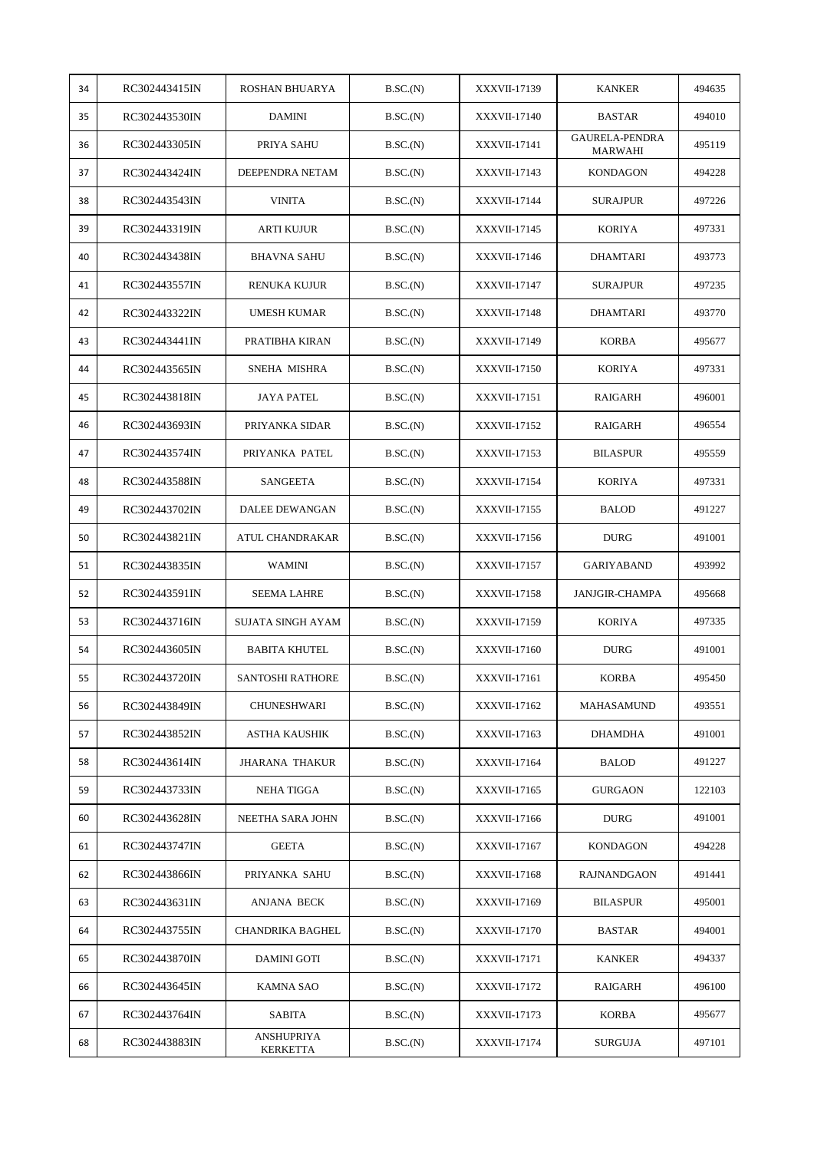| 34 | RC302443415IN | ROSHAN BHUARYA          | B.SC.(N) | XXXVII-17139        | <b>KANKER</b>                    | 494635 |
|----|---------------|-------------------------|----------|---------------------|----------------------------------|--------|
| 35 | RC302443530IN | <b>DAMINI</b>           | B.SC.(N) | <b>XXXVII-17140</b> | <b>BASTAR</b>                    | 494010 |
| 36 | RC302443305IN | PRIYA SAHU              | B.SC.(N) | XXXVII-17141        | GAURELA-PENDRA<br><b>MARWAHI</b> | 495119 |
| 37 | RC302443424IN | DEEPENDRA NETAM         | B.SC.(N) | XXXVII-17143        | <b>KONDAGON</b>                  | 494228 |
| 38 | RC302443543IN | <b>VINITA</b>           | B.SC.(N) | XXXVII-17144        | <b>SURAJPUR</b>                  | 497226 |
| 39 | RC302443319IN | ARTI KUJUR              | B.SC.(N) | XXXVII-17145        | <b>KORIYA</b>                    | 497331 |
| 40 | RC302443438IN | <b>BHAVNA SAHU</b>      | B.SC.(N) | XXXVII-17146        | DHAMTARI                         | 493773 |
| 41 | RC302443557IN | RENUKA KUJUR            | B.SC.(N) | XXXVII-17147        | <b>SURAJPUR</b>                  | 497235 |
| 42 | RC302443322IN | UMESH KUMAR             | B.SC.(N) | <b>XXXVII-17148</b> | <b>DHAMTARI</b>                  | 493770 |
| 43 | RC302443441IN | PRATIBHA KIRAN          | B.SC.(N) | XXXVII-17149        | <b>KORBA</b>                     | 495677 |
| 44 | RC302443565IN | SNEHA MISHRA            | B.SC.(N) | XXXVII-17150        | <b>KORIYA</b>                    | 497331 |
| 45 | RC302443818IN | <b>JAYA PATEL</b>       | B.SC.(N) | XXXVII-17151        | RAIGARH                          | 496001 |
| 46 | RC302443693IN | PRIYANKA SIDAR          | B.SC.(N) | XXXVII-17152        | RAIGARH                          | 496554 |
| 47 | RC302443574IN | PRIYANKA PATEL          | B.SC.(N) | XXXVII-17153        | <b>BILASPUR</b>                  | 495559 |
| 48 | RC302443588IN | SANGEETA                | B.SC.(N) | XXXVII-17154        | <b>KORIYA</b>                    | 497331 |
| 49 | RC302443702IN | DALEE DEWANGAN          | B.SC.(N) | XXXVII-17155        | <b>BALOD</b>                     | 491227 |
| 50 | RC302443821IN | ATUL CHANDRAKAR         | B.SC.(N) | XXXVII-17156        | <b>DURG</b>                      | 491001 |
| 51 | RC302443835IN | WAMINI                  | B.SC.(N) | XXXVII-17157        | <b>GARIYABAND</b>                | 493992 |
| 52 | RC302443591IN | <b>SEEMA LAHRE</b>      | B.SC.(N) | <b>XXXVII-17158</b> | <b>JANJGIR-CHAMPA</b>            | 495668 |
| 53 | RC302443716IN | SUJATA SINGH AYAM       | B.SC.(N) | XXXVII-17159        | <b>KORIYA</b>                    | 497335 |
| 54 | RC302443605IN | <b>BABITA KHUTEL</b>    | B.SC.(N) | XXXVII-17160        | <b>DURG</b>                      | 491001 |
| 55 | RC302443720IN | <b>SANTOSHI RATHORE</b> | B.SC.(N) | XXXVII-17161        | <b>KORBA</b>                     | 495450 |
| 56 | RC302443849IN | <b>CHUNESHWARI</b>      | B.SC.(N) | XXXVII-17162        | MAHASAMUND                       | 493551 |
| 57 | RC302443852IN | ASTHA KAUSHIK           | B.SC.(N) | XXXVII-17163        | <b>DHAMDHA</b>                   | 491001 |
| 58 | RC302443614IN | <b>JHARANA THAKUR</b>   | B.SC.(N) | XXXVII-17164        | <b>BALOD</b>                     | 491227 |
| 59 | RC302443733IN | NEHA TIGGA              | B.SC.(N) | XXXVII-17165        | <b>GURGAON</b>                   | 122103 |
| 60 | RC302443628IN | NEETHA SARA JOHN        | B.SC.(N) | XXXVII-17166        | <b>DURG</b>                      | 491001 |
| 61 | RC302443747IN | <b>GEETA</b>            | B.SC.(N) | XXXVII-17167        | KONDAGON                         | 494228 |
| 62 | RC302443866IN | PRIYANKA SAHU           | B.SC.(N) | XXXVII-17168        | <b>RAJNANDGAON</b>               | 491441 |
| 63 | RC302443631IN | ANJANA BECK             | B.SC.(N) | XXXVII-17169        | <b>BILASPUR</b>                  | 495001 |
| 64 | RC302443755IN | <b>CHANDRIKA BAGHEL</b> | B.SC.(N) | XXXVII-17170        | <b>BASTAR</b>                    | 494001 |
| 65 | RC302443870IN | <b>DAMINI GOTI</b>      | B.SC.(N) | XXXVII-17171        | <b>KANKER</b>                    | 494337 |
| 66 | RC302443645IN | KAMNA SAO               | B.SC.(N) | XXXVII-17172        | RAIGARH                          | 496100 |
| 67 | RC302443764IN | SABITA                  | B.SC.(N) | XXXVII-17173        | <b>KORBA</b>                     | 495677 |
| 68 | RC302443883IN | ANSHUPRIYA<br>KERKETTA  | B.SC.(N) | XXXVII-17174        | SURGUJA                          | 497101 |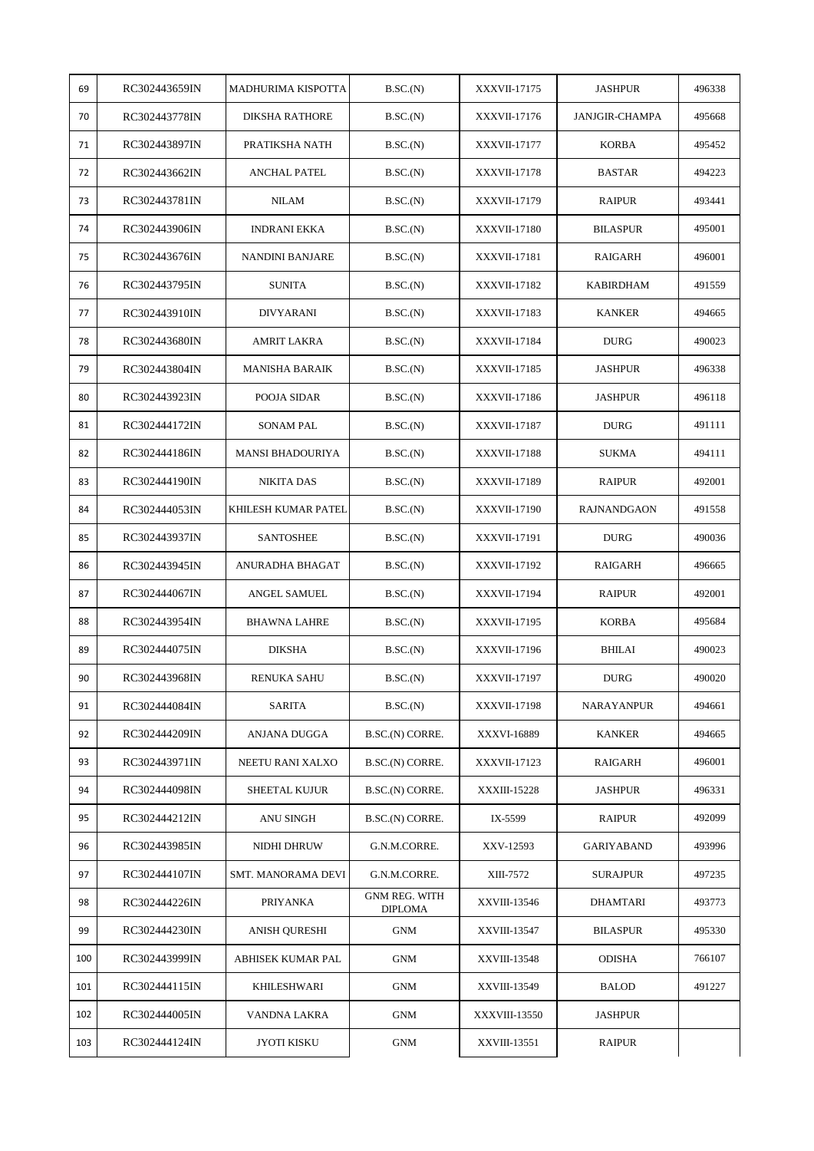| 69  | RC302443659IN | MADHURIMA KISPOTTA      | B.SC.(N)                               | XXXVII-17175        | <b>JASHPUR</b>        | 496338 |
|-----|---------------|-------------------------|----------------------------------------|---------------------|-----------------------|--------|
| 70  | RC302443778IN | <b>DIKSHA RATHORE</b>   | B.SC.(N)                               | <b>XXXVII-17176</b> | <b>JANJGIR-CHAMPA</b> | 495668 |
| 71  | RC302443897IN | PRATIKSHA NATH          | B.SC.(N)                               | XXXVII-17177        | <b>KORBA</b>          | 495452 |
| 72  | RC302443662IN | <b>ANCHAL PATEL</b>     | B.SC.(N)                               | XXXVII-17178        | <b>BASTAR</b>         | 494223 |
| 73  | RC302443781IN | <b>NILAM</b>            | B.SC.(N)                               | XXXVII-17179        | <b>RAIPUR</b>         | 493441 |
| 74  | RC302443906IN | <b>INDRANI EKKA</b>     | B.SC.(N)                               | <b>XXXVII-17180</b> | <b>BILASPUR</b>       | 495001 |
| 75  | RC302443676IN | NANDINI BANJARE         | B.SC.(N)                               | XXXVII-17181        | RAIGARH               | 496001 |
| 76  | RC302443795IN | <b>SUNITA</b>           | B.SC.(N)                               | XXXVII-17182        | KABIRDHAM             | 491559 |
| 77  | RC302443910IN | <b>DIVYARANI</b>        | B.SC.(N)                               | <b>XXXVII-17183</b> | <b>KANKER</b>         | 494665 |
| 78  | RC302443680IN | AMRIT LAKRA             | B.SC.(N)                               | <b>XXXVII-17184</b> | <b>DURG</b>           | 490023 |
| 79  | RC302443804IN | <b>MANISHA BARAIK</b>   | B.SC.(N)                               | <b>XXXVII-17185</b> | <b>JASHPUR</b>        | 496338 |
| 80  | RC302443923IN | POOJA SIDAR             | B.SC.(N)                               | XXXVII-17186        | <b>JASHPUR</b>        | 496118 |
| 81  | RC302444172IN | <b>SONAM PAL</b>        | B.SC.(N)                               | <b>XXXVII-17187</b> | <b>DURG</b>           | 491111 |
| 82  | RC302444186IN | <b>MANSI BHADOURIYA</b> | B.SC.(N)                               | <b>XXXVII-17188</b> | SUKMA                 | 494111 |
| 83  | RC302444190IN | NIKITA DAS              | B.SC.(N)                               | XXXVII-17189        | <b>RAIPUR</b>         | 492001 |
| 84  | RC302444053IN | KHILESH KUMAR PATEL     | B.SC.(N)                               | <b>XXXVII-17190</b> | <b>RAJNANDGAON</b>    | 491558 |
| 85  | RC302443937IN | <b>SANTOSHEE</b>        | B.SC.(N)                               | XXXVII-17191        | <b>DURG</b>           | 490036 |
| 86  | RC302443945IN | ANURADHA BHAGAT         | B.SC.(N)                               | XXXVII-17192        | RAIGARH               | 496665 |
| 87  | RC302444067IN | ANGEL SAMUEL            | B.SC.(N)                               | XXXVII-17194        | <b>RAIPUR</b>         | 492001 |
| 88  | RC302443954IN | <b>BHAWNA LAHRE</b>     | B.SC.(N)                               | XXXVII-17195        | KORBA                 | 495684 |
| 89  | RC302444075IN | <b>DIKSHA</b>           | B.SC.(N)                               | XXXVII-17196        | <b>BHILAI</b>         | 490023 |
| 90  | RC302443968IN | <b>RENUKA SAHU</b>      | B.SC.(N)                               | <b>XXXVII-17197</b> | <b>DURG</b>           | 490020 |
| 91  | RC302444084IN | SARITA                  | B.SC.(N)                               | <b>XXXVII-17198</b> | <b>NARAYANPUR</b>     | 494661 |
| 92  | RC302444209IN | ANJANA DUGGA            | B.SC.(N) CORRE.                        | XXXVI-16889         | <b>KANKER</b>         | 494665 |
| 93  | RC302443971IN | NEETU RANI XALXO        | B.SC.(N) CORRE.                        | XXXVII-17123        | RAIGARH               | 496001 |
| 94  | RC302444098IN | <b>SHEETAL KUJUR</b>    | B.SC.(N) CORRE.                        | <b>XXXIII-15228</b> | <b>JASHPUR</b>        | 496331 |
| 95  | RC302444212IN | ANU SINGH               | B.SC.(N) CORRE.                        | IX-5599             | <b>RAIPUR</b>         | 492099 |
| 96  | RC302443985IN | NIDHI DHRUW             | G.N.M.CORRE.                           | XXV-12593           | <b>GARIYABAND</b>     | 493996 |
| 97  | RC302444107IN | SMT. MANORAMA DEVI      | G.N.M.CORRE.                           | XIII-7572           | <b>SURAJPUR</b>       | 497235 |
| 98  | RC302444226IN | PRIYANKA                | <b>GNM REG. WITH</b><br><b>DIPLOMA</b> | XXVIII-13546        | DHAMTARI              | 493773 |
| 99  | RC302444230IN | ANISH QURESHI           | <b>GNM</b>                             | XXVIII-13547        | <b>BILASPUR</b>       | 495330 |
| 100 | RC302443999IN | ABHISEK KUMAR PAL       | <b>GNM</b>                             | XXVIII-13548        | <b>ODISHA</b>         | 766107 |
| 101 | RC302444115IN | KHILESHWARI             | <b>GNM</b>                             | XXVIII-13549        | <b>BALOD</b>          | 491227 |
| 102 | RC302444005IN | VANDNA LAKRA            | <b>GNM</b>                             | XXXVIII-13550       | <b>JASHPUR</b>        |        |
| 103 | RC302444124IN | <b>JYOTI KISKU</b>      | <b>GNM</b>                             | XXVIII-13551        | <b>RAIPUR</b>         |        |
|     |               |                         |                                        |                     |                       |        |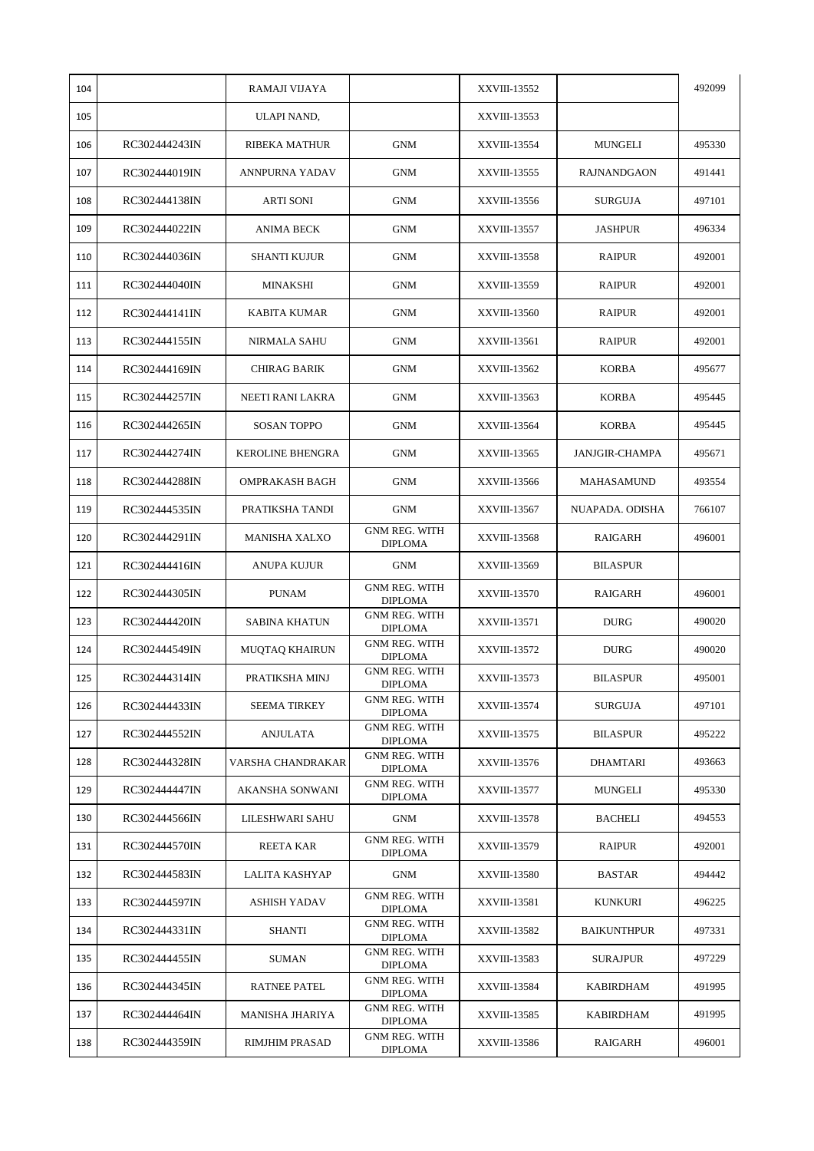| 104 |               | RAMAJI VIJAYA           |                                        | XXVIII-13552        |                       | 492099 |
|-----|---------------|-------------------------|----------------------------------------|---------------------|-----------------------|--------|
| 105 |               | ULAPI NAND,             |                                        | XXVIII-13553        |                       |        |
| 106 | RC302444243IN | RIBEKA MATHUR           | <b>GNM</b>                             | XXVIII-13554        | <b>MUNGELI</b>        | 495330 |
| 107 | RC302444019IN | ANNPURNA YADAV          | <b>GNM</b>                             | XXVIII-13555        | <b>RAJNANDGAON</b>    | 491441 |
| 108 | RC302444138IN | ARTI SONI               | <b>GNM</b>                             | XXVIII-13556        | <b>SURGUJA</b>        | 497101 |
| 109 | RC302444022IN | <b>ANIMA BECK</b>       | <b>GNM</b>                             | <b>XXVIII-13557</b> | <b>JASHPUR</b>        | 496334 |
| 110 | RC302444036IN | SHANTI KUJUR            | <b>GNM</b>                             | XXVIII-13558        | RAIPUR                | 492001 |
| 111 | RC302444040IN | MINAKSHI                | <b>GNM</b>                             | XXVIII-13559        | <b>RAIPUR</b>         | 492001 |
| 112 | RC302444141IN | KABITA KUMAR            | GNM                                    | XXVIII-13560        | <b>RAIPUR</b>         | 492001 |
| 113 | RC302444155IN | <b>NIRMALA SAHU</b>     | <b>GNM</b>                             | XXVIII-13561        | <b>RAIPUR</b>         | 492001 |
| 114 | RC302444169IN | CHIRAG BARIK            | GNM                                    | XXVIII-13562        | <b>KORBA</b>          | 495677 |
| 115 | RC302444257IN | NEETI RANI LAKRA        | <b>GNM</b>                             | XXVIII-13563        | <b>KORBA</b>          | 495445 |
| 116 | RC302444265IN | <b>SOSAN TOPPO</b>      | <b>GNM</b>                             | XXVIII-13564        | <b>KORBA</b>          | 495445 |
| 117 | RC302444274IN | <b>KEROLINE BHENGRA</b> | <b>GNM</b>                             | XXVIII-13565        | <b>JANJGIR-CHAMPA</b> | 495671 |
| 118 | RC302444288IN | <b>OMPRAKASH BAGH</b>   | <b>GNM</b>                             | XXVIII-13566        | MAHASAMUND            | 493554 |
| 119 | RC302444535IN | PRATIKSHA TANDI         | <b>GNM</b>                             | XXVIII-13567        | NUAPADA. ODISHA       | 766107 |
| 120 | RC302444291IN | <b>MANISHA XALXO</b>    | <b>GNM REG. WITH</b><br><b>DIPLOMA</b> | XXVIII-13568        | RAIGARH               | 496001 |
| 121 | RC302444416IN | ANUPA KUJUR             | <b>GNM</b>                             | XXVIII-13569        | <b>BILASPUR</b>       |        |
| 122 | RC302444305IN | <b>PUNAM</b>            | <b>GNM REG. WITH</b><br><b>DIPLOMA</b> | XXVIII-13570        | RAIGARH               | 496001 |
| 123 | RC302444420IN | SABINA KHATUN           | <b>GNM REG. WITH</b><br><b>DIPLOMA</b> | XXVIII-13571        | <b>DURG</b>           | 490020 |
| 124 | RC302444549IN | MUQTAQ KHAIRUN          | <b>GNM REG. WITH</b><br>DIPLOMA        | XXVIII-13572        | <b>DURG</b>           | 490020 |
| 125 | RC302444314IN | PRATIKSHA MINJ          | <b>GNM REG. WITH</b><br><b>DIPLOMA</b> | XXVIII-13573        | <b>BILASPUR</b>       | 495001 |
| 126 | RC302444433IN | <b>SEEMA TIRKEY</b>     | <b>GNM REG. WITH</b><br><b>DIPLOMA</b> | XXVIII-13574        | <b>SURGUJA</b>        | 497101 |
| 127 | RC302444552IN | <b>ANJULATA</b>         | <b>GNM REG. WITH</b><br><b>DIPLOMA</b> | XXVIII-13575        | <b>BILASPUR</b>       | 495222 |
| 128 | RC302444328IN | VARSHA CHANDRAKAR       | <b>GNM REG. WITH</b><br>DIPLOMA        | XXVIII-13576        | DHAMTARI              | 493663 |
| 129 | RC302444447IN | AKANSHA SONWANI         | GNM REG. WITH<br><b>DIPLOMA</b>        | XXVIII-13577        | MUNGELI               | 495330 |
| 130 | RC302444566IN | LILESHWARI SAHU         | <b>GNM</b>                             | <b>XXVIII-13578</b> | BACHELI               | 494553 |
| 131 | RC302444570IN | REETA KAR               | <b>GNM REG. WITH</b><br>DIPLOMA        | XXVIII-13579        | RAIPUR                | 492001 |
| 132 | RC302444583IN | LALITA KASHYAP          | <b>GNM</b>                             | XXVIII-13580        | <b>BASTAR</b>         | 494442 |
| 133 | RC302444597IN | ASHISH YADAV            | <b>GNM REG. WITH</b><br><b>DIPLOMA</b> | XXVIII-13581        | KUNKURI               | 496225 |
| 134 | RC302444331IN | SHANTI                  | <b>GNM REG. WITH</b><br><b>DIPLOMA</b> | XXVIII-13582        | <b>BAIKUNTHPUR</b>    | 497331 |
| 135 | RC302444455IN | SUMAN                   | <b>GNM REG. WITH</b><br><b>DIPLOMA</b> | XXVIII-13583        | <b>SURAJPUR</b>       | 497229 |
| 136 | RC302444345IN | <b>RATNEE PATEL</b>     | <b>GNM REG. WITH</b><br><b>DIPLOMA</b> | XXVIII-13584        | KABIRDHAM             | 491995 |
| 137 | RC302444464IN | MANISHA JHARIYA         | <b>GNM REG. WITH</b><br><b>DIPLOMA</b> | XXVIII-13585        | KABIRDHAM             | 491995 |
| 138 | RC302444359IN | RIMJHIM PRASAD          | GNM REG. WITH<br><b>DIPLOMA</b>        | XXVIII-13586        | RAIGARH               | 496001 |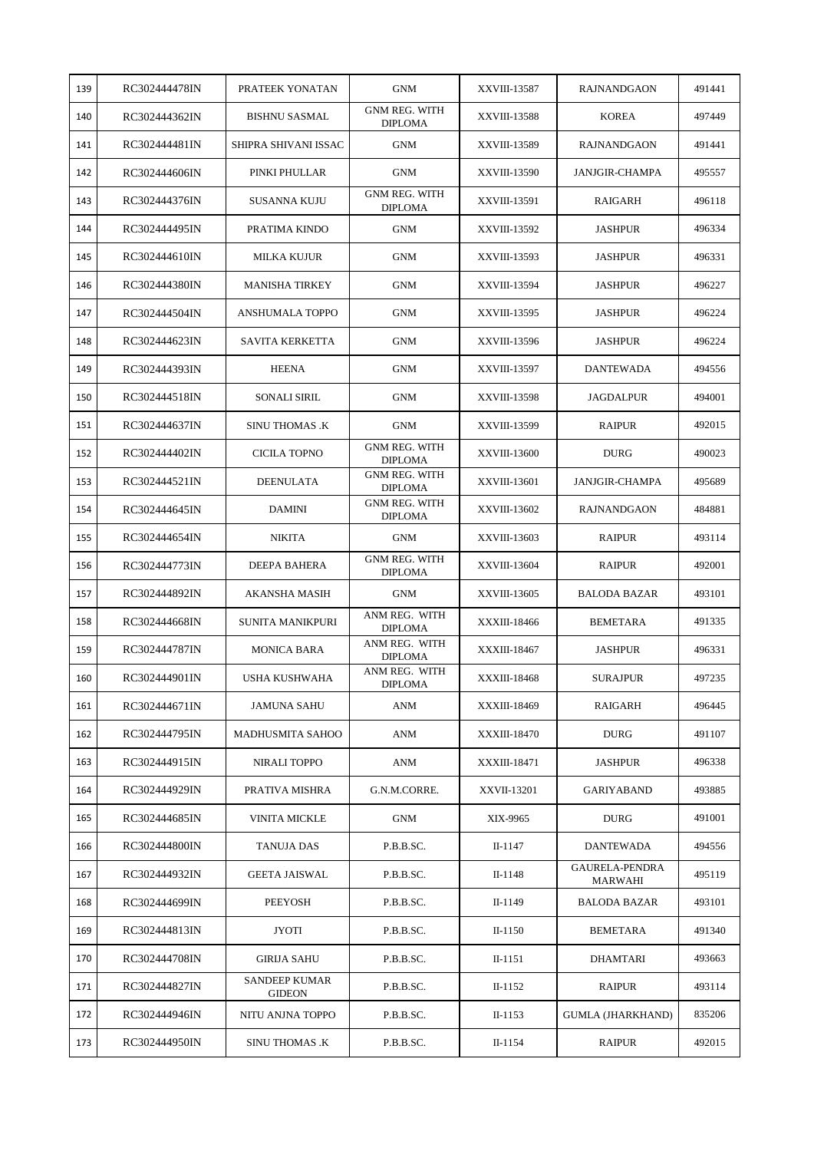| 139 | RC302444478IN | PRATEEK YONATAN                       | <b>GNM</b>                             | XXVIII-13587        | RAJNANDGAON               | 491441 |
|-----|---------------|---------------------------------------|----------------------------------------|---------------------|---------------------------|--------|
| 140 | RC302444362IN | <b>BISHNU SASMAL</b>                  | <b>GNM REG. WITH</b><br><b>DIPLOMA</b> | XXVIII-13588        | <b>KOREA</b>              | 497449 |
| 141 | RC302444481IN | SHIPRA SHIVANI ISSAC                  | <b>GNM</b>                             | XXVIII-13589        | <b>RAJNANDGAON</b>        | 491441 |
| 142 | RC302444606IN | PINKI PHULLAR                         | <b>GNM</b>                             | XXVIII-13590        | <b>JANJGIR-CHAMPA</b>     | 495557 |
| 143 | RC302444376IN | SUSANNA KUJU                          | <b>GNM REG. WITH</b><br><b>DIPLOMA</b> | XXVIII-13591        | RAIGARH                   | 496118 |
| 144 | RC302444495IN | PRATIMA KINDO                         | <b>GNM</b>                             | XXVIII-13592        | <b>JASHPUR</b>            | 496334 |
| 145 | RC302444610IN | MILKA KUJUR                           | <b>GNM</b>                             | XXVIII-13593        | <b>JASHPUR</b>            | 496331 |
| 146 | RC302444380IN | <b>MANISHA TIRKEY</b>                 | <b>GNM</b>                             | XXVIII-13594        | <b>JASHPUR</b>            | 496227 |
| 147 | RC302444504IN | ANSHUMALA TOPPO                       | <b>GNM</b>                             | XXVIII-13595        | <b>JASHPUR</b>            | 496224 |
| 148 | RC302444623IN | <b>SAVITA KERKETTA</b>                | <b>GNM</b>                             | XXVIII-13596        | <b>JASHPUR</b>            | 496224 |
| 149 | RC302444393IN | <b>HEENA</b>                          | <b>GNM</b>                             | XXVIII-13597        | <b>DANTEWADA</b>          | 494556 |
| 150 | RC302444518IN | <b>SONALI SIRIL</b>                   | <b>GNM</b>                             | <b>XXVIII-13598</b> | <b>JAGDALPUR</b>          | 494001 |
| 151 | RC302444637IN | <b>SINU THOMAS .K</b>                 | <b>GNM</b>                             | XXVIII-13599        | <b>RAIPUR</b>             | 492015 |
| 152 | RC302444402IN | CICILA TOPNO                          | <b>GNM REG. WITH</b><br><b>DIPLOMA</b> | XXVIII-13600        | <b>DURG</b>               | 490023 |
| 153 | RC302444521IN | <b>DEENULATA</b>                      | <b>GNM REG. WITH</b><br><b>DIPLOMA</b> | XXVIII-13601        | <b>JANJGIR-CHAMPA</b>     | 495689 |
| 154 | RC302444645IN | <b>DAMINI</b>                         | <b>GNM REG. WITH</b><br><b>DIPLOMA</b> | XXVIII-13602        | <b>RAJNANDGAON</b>        | 484881 |
| 155 | RC302444654IN | <b>NIKITA</b>                         | <b>GNM</b>                             | XXVIII-13603        | <b>RAIPUR</b>             | 493114 |
| 156 | RC302444773IN | DEEPA BAHERA                          | <b>GNM REG. WITH</b><br><b>DIPLOMA</b> | XXVIII-13604        | RAIPUR                    | 492001 |
| 157 | RC302444892IN | AKANSHA MASIH                         | <b>GNM</b>                             | XXVIII-13605        | <b>BALODA BAZAR</b>       | 493101 |
| 158 | RC302444668IN | <b>SUNITA MANIKPURI</b>               | ANM REG. WITH<br><b>DIPLOMA</b>        | XXXIII-18466        | <b>BEMETARA</b>           | 491335 |
| 159 | RC302444787IN | <b>MONICA BARA</b>                    | ANM REG. WITH<br><b>DIPLOMA</b>        | <b>XXXIII-18467</b> | <b>JASHPUR</b>            | 496331 |
| 160 | RC302444901IN | USHA KUSHWAHA                         | ANM REG. WITH<br><b>DIPLOMA</b>        | XXXIII-18468        | <b>SURAJPUR</b>           | 497235 |
| 161 | RC302444671IN | JAMUNA SAHU                           | ANM                                    | XXXIII-18469        | RAIGARH                   | 496445 |
| 162 | RC302444795IN | MADHUSMITA SAHOO                      | ANM                                    | XXXIII-18470        | <b>DURG</b>               | 491107 |
| 163 | RC302444915IN | NIRALI TOPPO                          | ANM                                    | XXXIII-18471        | <b>JASHPUR</b>            | 496338 |
| 164 | RC302444929IN | PRATIVA MISHRA                        | G.N.M.CORRE.                           | XXVII-13201         | GARIYABAND                | 493885 |
| 165 | RC302444685IN | VINITA MICKLE                         | <b>GNM</b>                             | XIX-9965            | <b>DURG</b>               | 491001 |
| 166 | RC302444800IN | TANUJA DAS                            | P.B.B.SC.                              | II-1147             | <b>DANTEWADA</b>          | 494556 |
| 167 | RC302444932IN | <b>GEETA JAISWAL</b>                  | P.B.B.SC.                              | II-1148             | GAURELA-PENDRA<br>MARWAHI | 495119 |
| 168 | RC302444699IN | PEEYOSH                               | P.B.B.SC.                              | II-1149             | <b>BALODA BAZAR</b>       | 493101 |
| 169 | RC302444813IN | JYOTI                                 | P.B.B.SC.                              | $II-1150$           | <b>BEMETARA</b>           | 491340 |
| 170 | RC302444708IN | <b>GIRIJA SAHU</b>                    | P.B.B.SC.                              | II-1151             | <b>DHAMTARI</b>           | 493663 |
| 171 | RC302444827IN | <b>SANDEEP KUMAR</b><br><b>GIDEON</b> | P.B.B.SC.                              | $II-1152$           | RAIPUR                    | 493114 |
| 172 | RC302444946IN | NITU ANJNA TOPPO                      | P.B.B.SC.                              | $II-1153$           | <b>GUMLA (JHARKHAND)</b>  | 835206 |
| 173 | RC302444950IN | <b>SINU THOMAS .K</b>                 | P.B.B.SC.                              | II-1154             | RAIPUR                    | 492015 |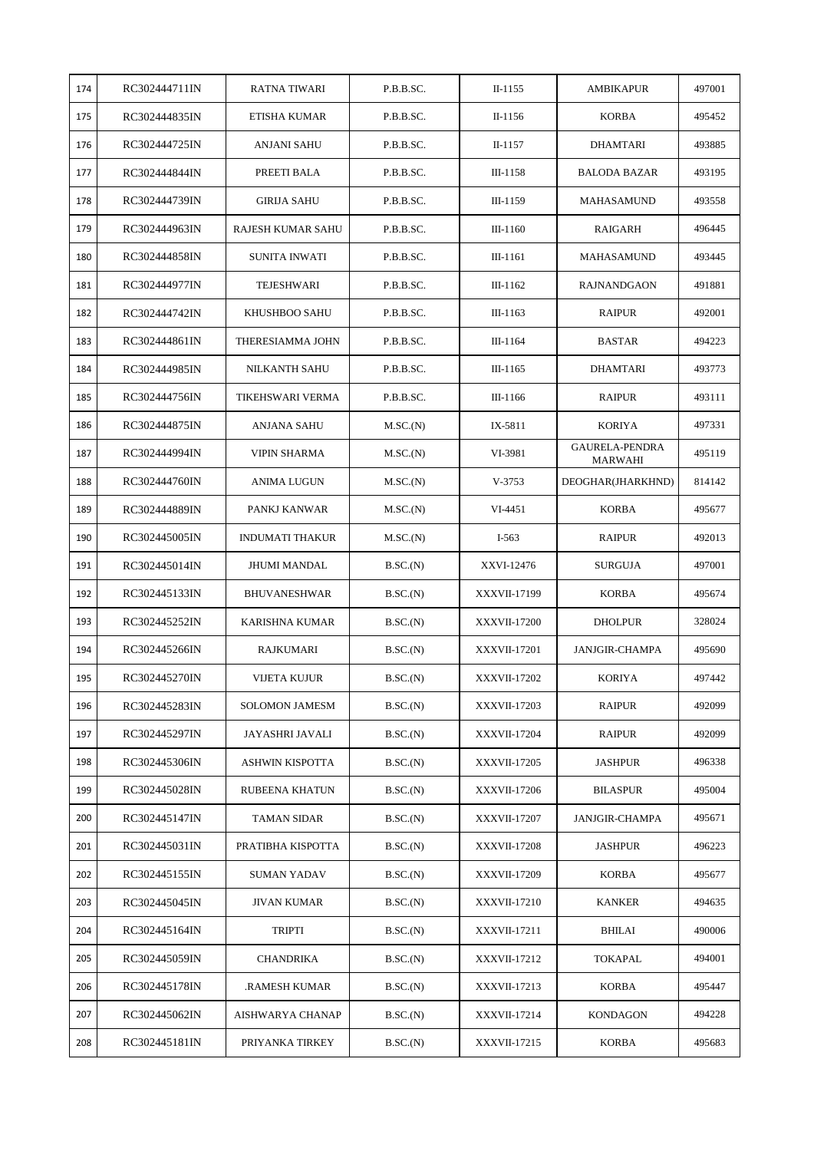| 174 | RC302444711IN | RATNA TIWARI             | P.B.B.SC. | $II-1155$           | AMBIKAPUR                 | 497001 |
|-----|---------------|--------------------------|-----------|---------------------|---------------------------|--------|
| 175 | RC302444835IN | ETISHA KUMAR             | P.B.B.SC. | II-1156             | <b>KORBA</b>              | 495452 |
| 176 | RC302444725IN | ANJANI SAHU              | P.B.B.SC. | $II-1157$           | DHAMTARI                  | 493885 |
| 177 | RC302444844IN | PREETI BALA              | P.B.B.SC. | III-1158            | <b>BALODA BAZAR</b>       | 493195 |
| 178 | RC302444739IN | <b>GIRIJA SAHU</b>       | P.B.B.SC. | $III-1159$          | MAHASAMUND                | 493558 |
| 179 | RC302444963IN | <b>RAJESH KUMAR SAHU</b> | P.B.B.SC. | $III-1160$          | RAIGARH                   | 496445 |
| 180 | RC302444858IN | <b>SUNITA INWATI</b>     | P.B.B.SC. | III-1161            | <b>MAHASAMUND</b>         | 493445 |
| 181 | RC302444977IN | TEJESHWARI               | P.B.B.SC. | $III-1162$          | <b>RAJNANDGAON</b>        | 491881 |
| 182 | RC302444742IN | KHUSHBOO SAHU            | P.B.B.SC. | $III-1163$          | <b>RAIPUR</b>             | 492001 |
| 183 | RC302444861IN | THERESIAMMA JOHN         | P.B.B.SC. | III-1164            | <b>BASTAR</b>             | 494223 |
| 184 | RC302444985IN | <b>NILKANTH SAHU</b>     | P.B.B.SC. | $III-1165$          | DHAMTARI                  | 493773 |
| 185 | RC302444756IN | TIKEHSWARI VERMA         | P.B.B.SC. | $III-1166$          | <b>RAIPUR</b>             | 493111 |
| 186 | RC302444875IN | ANJANA SAHU              | M.SC.(N)  | IX-5811             | <b>KORIYA</b>             | 497331 |
| 187 | RC302444994IN | VIPIN SHARMA             | M.SC.(N)  | VI-3981             | GAURELA-PENDRA<br>MARWAHI | 495119 |
| 188 | RC302444760IN | ANIMA LUGUN              | M.SC.(N)  | $V-3753$            | DEOGHAR(JHARKHND)         | 814142 |
| 189 | RC302444889IN | PANKJ KANWAR             | M.SC.(N)  | VI-4451             | <b>KORBA</b>              | 495677 |
| 190 | RC302445005IN | <b>INDUMATI THAKUR</b>   | M.SC.(N)  | $I-563$             | <b>RAIPUR</b>             | 492013 |
| 191 | RC302445014IN | <b>JHUMI MANDAL</b>      | B.SC.(N)  | XXVI-12476          | <b>SURGUJA</b>            | 497001 |
| 192 | RC302445133IN | <b>BHUVANESHWAR</b>      | B.SC.(N)  | XXXVII-17199        | <b>KORBA</b>              | 495674 |
| 193 | RC302445252IN | KARISHNA KUMAR           | B.SC.(N)  | XXXVII-17200        | <b>DHOLPUR</b>            | 328024 |
| 194 | RC302445266IN | RAJKUMARI                | B.SC.(N)  | <b>XXXVII-17201</b> | <b>JANJGIR-CHAMPA</b>     | 495690 |
| 195 | RC302445270IN | VIJETA KUJUR             | B.SC.(N)  | <b>XXXVII-17202</b> | <b>KORIYA</b>             | 497442 |
| 196 | RC302445283IN | <b>SOLOMON JAMESM</b>    | B.SC.(N)  | XXXVII-17203        | RAIPUR                    | 492099 |
| 197 | RC302445297IN | JAYASHRI JAVALI          | B.SC.(N)  | <b>XXXVII-17204</b> | <b>RAIPUR</b>             | 492099 |
| 198 | RC302445306IN | ASHWIN KISPOTTA          | B.SC.(N)  | <b>XXXVII-17205</b> | <b>JASHPUR</b>            | 496338 |
| 199 | RC302445028IN | RUBEENA KHATUN           | B.SC.(N)  | <b>XXXVII-17206</b> | <b>BILASPUR</b>           | 495004 |
| 200 | RC302445147IN | TAMAN SIDAR              | B.SC.(N)  | <b>XXXVII-17207</b> | <b>JANJGIR-CHAMPA</b>     | 495671 |
| 201 | RC302445031IN | PRATIBHA KISPOTTA        | B.SC.(N)  | <b>XXXVII-17208</b> | <b>JASHPUR</b>            | 496223 |
| 202 | RC302445155IN | <b>SUMAN YADAV</b>       | B.SC.(N)  | <b>XXXVII-17209</b> | <b>KORBA</b>              | 495677 |
| 203 | RC302445045IN | <b>JIVAN KUMAR</b>       | B.SC.(N)  | <b>XXXVII-17210</b> | <b>KANKER</b>             | 494635 |
| 204 | RC302445164IN | <b>TRIPTI</b>            | B.SC.(N)  | XXXVII-17211        | <b>BHILAI</b>             | 490006 |
| 205 | RC302445059IN | CHANDRIKA                | B.SC.(N)  | XXXVII-17212        | <b>TOKAPAL</b>            | 494001 |
| 206 | RC302445178IN | RAMESH KUMAR.            | B.SC.(N)  | XXXVII-17213        | KORBA                     | 495447 |
| 207 | RC302445062IN | AISHWARYA CHANAP         | B.SC.(N)  | XXXVII-17214        | <b>KONDAGON</b>           | 494228 |
| 208 | RC302445181IN | PRIYANKA TIRKEY          | B.SC.(N)  | <b>XXXVII-17215</b> | <b>KORBA</b>              | 495683 |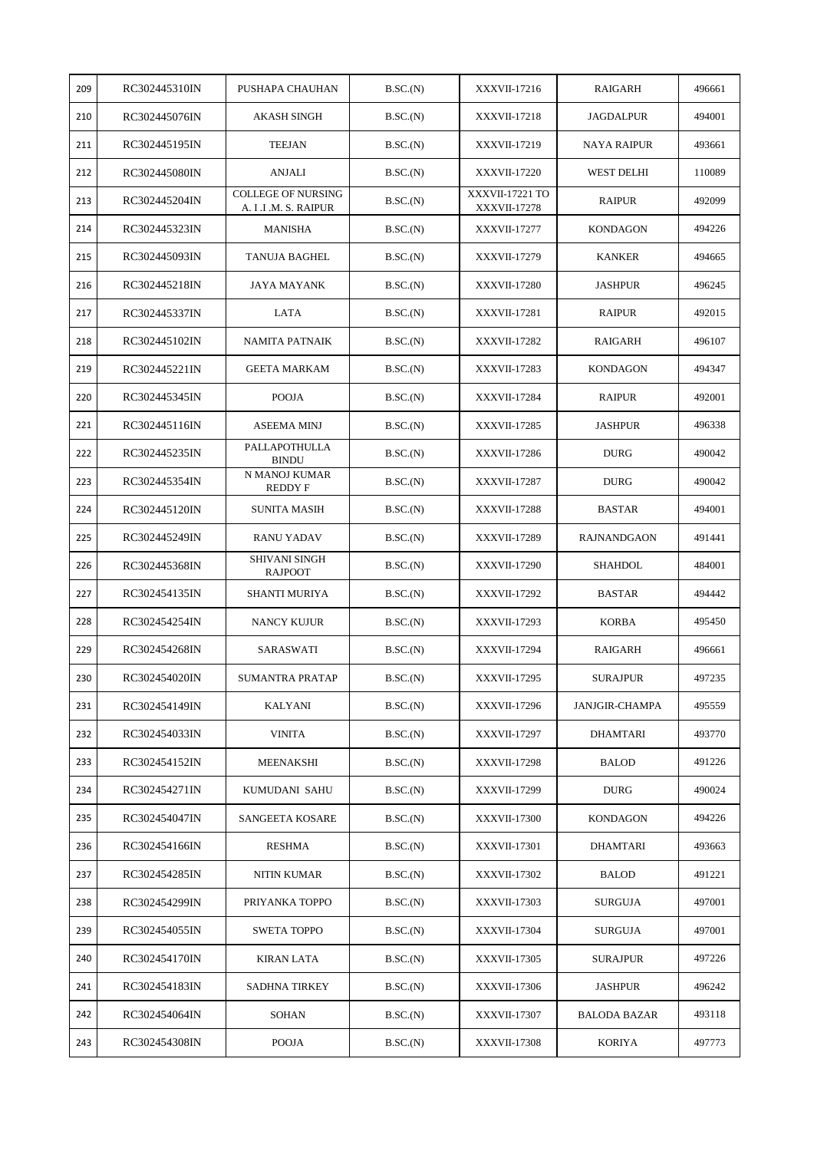| 209 | RC302445310IN | PUSHAPA CHAUHAN                                    | B.SC.(N) | XXXVII-17216                    | RAIGARH               | 496661 |
|-----|---------------|----------------------------------------------------|----------|---------------------------------|-----------------------|--------|
| 210 | RC302445076IN | AKASH SINGH                                        | B.SC.(N) | <b>XXXVII-17218</b>             | <b>JAGDALPUR</b>      | 494001 |
| 211 | RC302445195IN | <b>TEEJAN</b>                                      | B.SC.(N) | XXXVII-17219                    | <b>NAYA RAIPUR</b>    | 493661 |
| 212 | RC302445080IN | ANJALI                                             | B.SC.(N) | <b>XXXVII-17220</b>             | WEST DELHI            | 110089 |
| 213 | RC302445204IN | <b>COLLEGE OF NURSING</b><br>A. I .I .M. S. RAIPUR | B.SC.(N) | XXXVII-17221 TO<br>XXXVII-17278 | <b>RAIPUR</b>         | 492099 |
| 214 | RC302445323IN | <b>MANISHA</b>                                     | B.SC.(N) | <b>XXXVII-17277</b>             | <b>KONDAGON</b>       | 494226 |
| 215 | RC302445093IN | TANUJA BAGHEL                                      | B.SC.(N) | <b>XXXVII-17279</b>             | <b>KANKER</b>         | 494665 |
| 216 | RC302445218IN | JAYA MAYANK                                        | B.SC.(N) | <b>XXXVII-17280</b>             | <b>JASHPUR</b>        | 496245 |
| 217 | RC302445337IN | LATA                                               | B.SC.(N) | <b>XXXVII-17281</b>             | <b>RAIPUR</b>         | 492015 |
| 218 | RC302445102IN | <b>NAMITA PATNAIK</b>                              | B.SC.(N) | <b>XXXVII-17282</b>             | RAIGARH               | 496107 |
| 219 | RC302445221IN | <b>GEETA MARKAM</b>                                | B.SC.(N) | <b>XXXVII-17283</b>             | <b>KONDAGON</b>       | 494347 |
| 220 | RC302445345IN | <b>POOJA</b>                                       | B.SC.(N) | <b>XXXVII-17284</b>             | <b>RAIPUR</b>         | 492001 |
| 221 | RC302445116IN | <b>ASEEMA MINJ</b>                                 | B.SC.(N) | <b>XXXVII-17285</b>             | <b>JASHPUR</b>        | 496338 |
| 222 | RC302445235IN | PALLAPOTHULLA<br><b>BINDU</b>                      | B.SC.(N) | <b>XXXVII-17286</b>             | <b>DURG</b>           | 490042 |
| 223 | RC302445354IN | N MANOJ KUMAR<br><b>REDDY F</b>                    | B.SC.(N) | XXXVII-17287                    | <b>DURG</b>           | 490042 |
| 224 | RC302445120IN | <b>SUNITA MASIH</b>                                | B.SC.(N) | <b>XXXVII-17288</b>             | <b>BASTAR</b>         | 494001 |
| 225 | RC302445249IN | <b>RANU YADAV</b>                                  | B.SC.(N) | XXXVII-17289                    | <b>RAJNANDGAON</b>    | 491441 |
| 226 | RC302445368IN | <b>SHIVANI SINGH</b><br><b>RAJPOOT</b>             | B.SC.(N) | <b>XXXVII-17290</b>             | <b>SHAHDOL</b>        | 484001 |
| 227 | RC302454135IN | SHANTI MURIYA                                      | B.SC.(N) | XXXVII-17292                    | <b>BASTAR</b>         | 494442 |
| 228 | RC302454254IN | NANCY KUJUR                                        | B.SC.(N) | XXXVII-17293                    | <b>KORBA</b>          | 495450 |
| 229 | RC302454268IN | SARASWATI                                          | B.SC.(N) | <b>XXXVII-17294</b>             | RAIGARH               | 496661 |
| 230 | RC302454020IN | <b>SUMANTRA PRATAP</b>                             | B.SC.(N) | XXXVII-17295                    | <b>SURAJPUR</b>       | 497235 |
| 231 | RC302454149IN | KALYANI                                            | B.SC.(N) | XXXVII-17296                    | <b>JANJGIR-CHAMPA</b> | 495559 |
| 232 | RC302454033IN | <b>VINITA</b>                                      | B.SC.(N) | XXXVII-17297                    | <b>DHAMTARI</b>       | 493770 |
| 233 | RC302454152IN | MEENAKSHI                                          | B.SC.(N) | <b>XXXVII-17298</b>             | <b>BALOD</b>          | 491226 |
| 234 | RC302454271IN | KUMUDANI SAHU                                      | B.SC.(N) | XXXVII-17299                    | <b>DURG</b>           | 490024 |
| 235 | RC302454047IN | SANGEETA KOSARE                                    | B.SC.(N) | <b>XXXVII-17300</b>             | <b>KONDAGON</b>       | 494226 |
| 236 | RC302454166IN | <b>RESHMA</b>                                      | B.SC.(N) | <b>XXXVII-17301</b>             | <b>DHAMTARI</b>       | 493663 |
| 237 | RC302454285IN | NITIN KUMAR                                        | B.SC.(N) | <b>XXXVII-17302</b>             | <b>BALOD</b>          | 491221 |
| 238 | RC302454299IN | PRIYANKA TOPPO                                     | B.SC.(N) | XXXVII-17303                    | <b>SURGUJA</b>        | 497001 |
| 239 | RC302454055IN | <b>SWETA TOPPO</b>                                 | B.SC.(N) | <b>XXXVII-17304</b>             | <b>SURGUJA</b>        | 497001 |
| 240 | RC302454170IN | KIRAN LATA                                         | B.SC.(N) | <b>XXXVII-17305</b>             | <b>SURAJPUR</b>       | 497226 |
| 241 | RC302454183IN | SADHNA TIRKEY                                      | B.SC.(N) | <b>XXXVII-17306</b>             | JASHPUR               | 496242 |
| 242 | RC302454064IN | <b>SOHAN</b>                                       | B.SC.(N) | XXXVII-17307                    | <b>BALODA BAZAR</b>   | 493118 |
| 243 | RC302454308IN | <b>POOJA</b>                                       | B.SC.(N) | XXXVII-17308                    | <b>KORIYA</b>         | 497773 |